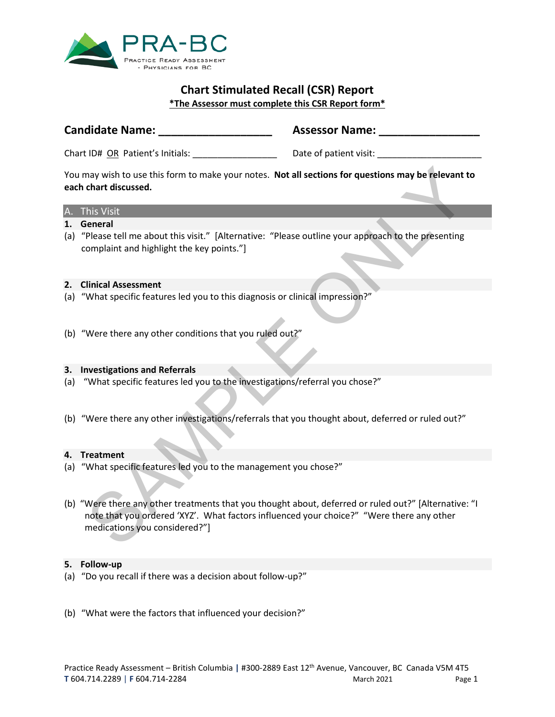

# **Chart Stimulated Recall (CSR) Report \*The Assessor must complete this CSR Report form\***

# **Candidate Name: \_\_\_\_\_\_\_\_\_\_\_\_\_\_\_\_\_\_ Assessor Name: \_\_\_\_\_\_\_\_\_\_\_\_\_\_\_\_**

Chart ID# <u>OR</u> Patient's Initials: \_\_\_\_\_\_\_\_\_\_\_\_\_\_\_\_\_\_\_\_\_\_ Date of patient visit: \_\_\_\_\_\_\_\_\_\_\_\_\_\_\_\_\_\_

You may wish to use this form to make your notes. **Not all sections for questions may be relevant to each chart discussed.**

## A. This Visit

# **1. General**

(a) "Please tell me about this visit." [Alternative: "Please outline your approach to the presenting complaint and highlight the key points."]

### **2. Clinical Assessment**

- (a) "What specific features led you to this diagnosis or clinical impression?"
- (b) "Were there any other conditions that you ruled out?"

### **3. Investigations and Referrals**

- (a) "What specific features led you to the investigations/referral you chose?"
- (b) "Were there any other investigations/referrals that you thought about, deferred or ruled out?"

### **4. Treatment**

- (a) "What specific features led you to the management you chose?"
- (b) "Were there any other treatments that you thought about, deferred or ruled out?" [Alternative: "I note that you ordered 'XYZ'. What factors influenced your choice?" "Were there any other medications you considered?"] may wish to use this form to make your notes. Not all sections for questions may be relevant than discussed.<br>
his Visit .<br>
his Visit .<br>
enceptial<br>
Please tell me about this visit." (Alternative: "Please outline your approa

### **5. Follow-up**

- (a) "Do you recall if there was a decision about follow-up?"
- (b) "What were the factors that influenced your decision?"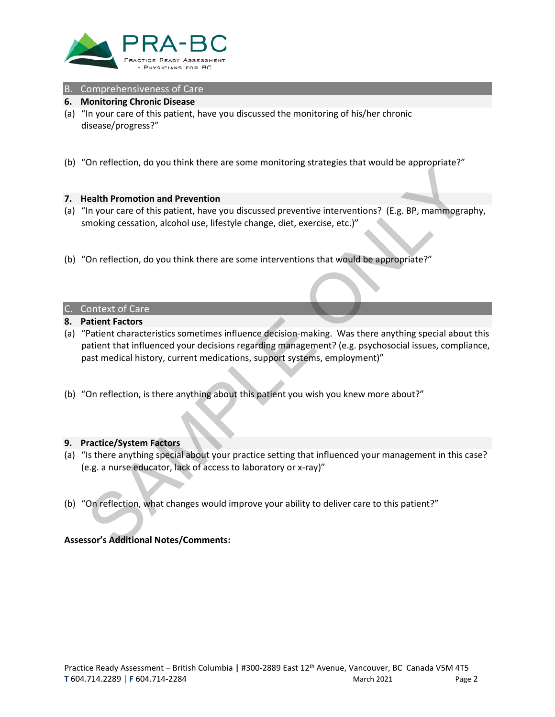

# B. Comprehensiveness of Care

#### **6. Monitoring Chronic Disease**

- (a) "In your care of this patient, have you discussed the monitoring of his/her chronic disease/progress?"
- (b) "On reflection, do you think there are some monitoring strategies that would be appropriate?"

#### **7. Health Promotion and Prevention**

- (a) "In your care of this patient, have you discussed preventive interventions? (E.g. BP, mammography, smoking cessation, alcohol use, lifestyle change, diet, exercise, etc.)"
- (b) "On reflection, do you think there are some interventions that would be appropriate?"

#### C. Context of Care

- **8. Patient Factors**
- (a) "Patient characteristics sometimes influence decision-making. Was there anything special about this patient that influenced your decisions regarding management? (e.g. psychosocial issues, compliance, past medical history, current medications, support systems, employment)" **Earth Promotion and Prevention**<br>In your care of this patient, have you discussed preventive interventions? (E.g. BP, mammogramoking cessation, alcohol use, lifestyle change, diet, exercise, etc.)"<br>On reflection, do you th
- (b) "On reflection, is there anything about this patient you wish you knew more about?"

#### **9. Practice/System Factors**

- (a) "Is there anything special about your practice setting that influenced your management in this case? (e.g. a nurse educator, lack of access to laboratory or x-ray)"
- (b) "On reflection, what changes would improve your ability to deliver care to this patient?"

### **Assessor's Additional Notes/Comments:**